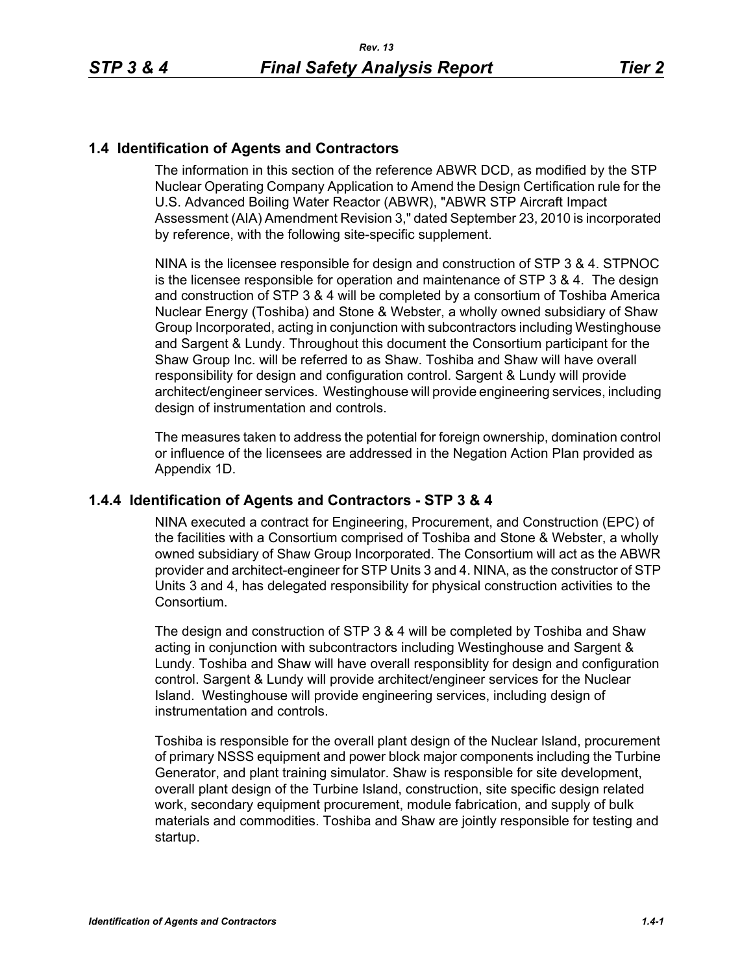## **1.4 Identification of Agents and Contractors**

The information in this section of the reference ABWR DCD, as modified by the STP Nuclear Operating Company Application to Amend the Design Certification rule for the U.S. Advanced Boiling Water Reactor (ABWR), "ABWR STP Aircraft Impact Assessment (AIA) Amendment Revision 3," dated September 23, 2010 is incorporated by reference, with the following site-specific supplement.

NINA is the licensee responsible for design and construction of STP 3 & 4. STPNOC is the licensee responsible for operation and maintenance of STP 3 & 4. The design and construction of STP 3 & 4 will be completed by a consortium of Toshiba America Nuclear Energy (Toshiba) and Stone & Webster, a wholly owned subsidiary of Shaw Group Incorporated, acting in conjunction with subcontractors including Westinghouse and Sargent & Lundy. Throughout this document the Consortium participant for the Shaw Group Inc. will be referred to as Shaw. Toshiba and Shaw will have overall responsibility for design and configuration control. Sargent & Lundy will provide architect/engineer services. Westinghouse will provide engineering services, including design of instrumentation and controls.

The measures taken to address the potential for foreign ownership, domination control or influence of the licensees are addressed in the Negation Action Plan provided as Appendix 1D.

#### **1.4.4 Identification of Agents and Contractors - STP 3 & 4**

NINA executed a contract for Engineering, Procurement, and Construction (EPC) of the facilities with a Consortium comprised of Toshiba and Stone & Webster, a wholly owned subsidiary of Shaw Group Incorporated. The Consortium will act as the ABWR provider and architect-engineer for STP Units 3 and 4. NINA, as the constructor of STP Units 3 and 4, has delegated responsibility for physical construction activities to the Consortium.

The design and construction of STP 3 & 4 will be completed by Toshiba and Shaw acting in conjunction with subcontractors including Westinghouse and Sargent & Lundy. Toshiba and Shaw will have overall responsiblity for design and configuration control. Sargent & Lundy will provide architect/engineer services for the Nuclear Island. Westinghouse will provide engineering services, including design of instrumentation and controls.

Toshiba is responsible for the overall plant design of the Nuclear Island, procurement of primary NSSS equipment and power block major components including the Turbine Generator, and plant training simulator. Shaw is responsible for site development, overall plant design of the Turbine Island, construction, site specific design related work, secondary equipment procurement, module fabrication, and supply of bulk materials and commodities. Toshiba and Shaw are jointly responsible for testing and startup.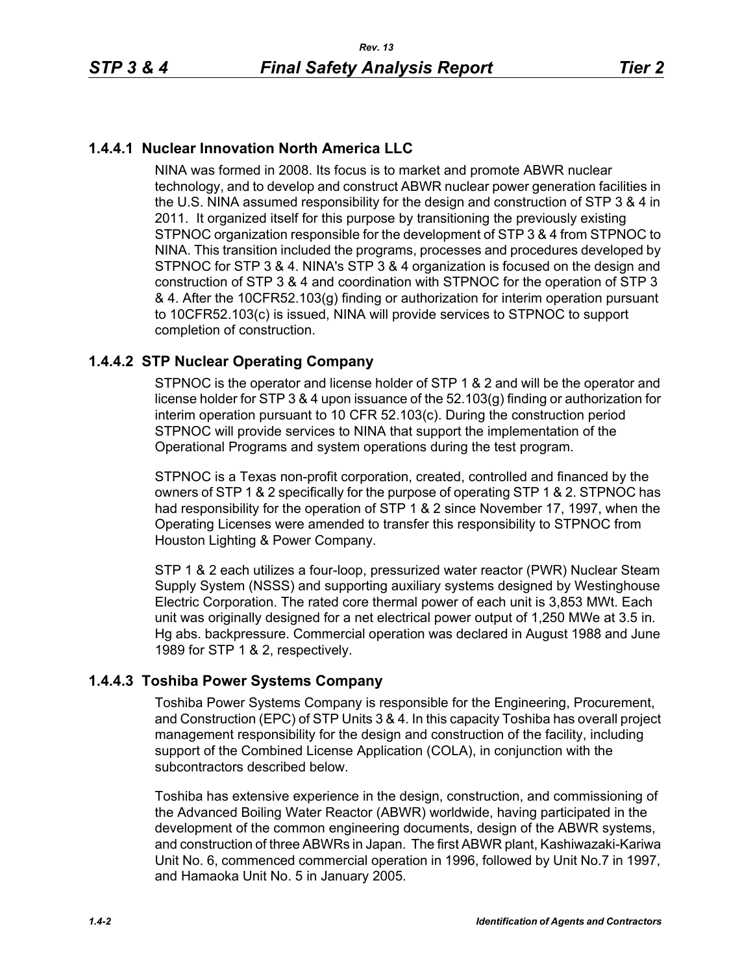# **1.4.4.1 Nuclear Innovation North America LLC**

NINA was formed in 2008. Its focus is to market and promote ABWR nuclear technology, and to develop and construct ABWR nuclear power generation facilities in the U.S. NINA assumed responsibility for the design and construction of STP 3 & 4 in 2011. It organized itself for this purpose by transitioning the previously existing STPNOC organization responsible for the development of STP 3 & 4 from STPNOC to NINA. This transition included the programs, processes and procedures developed by STPNOC for STP 3 & 4. NINA's STP 3 & 4 organization is focused on the design and construction of STP 3 & 4 and coordination with STPNOC for the operation of STP 3 & 4. After the 10CFR52.103(g) finding or authorization for interim operation pursuant to 10CFR52.103(c) is issued, NINA will provide services to STPNOC to support completion of construction.

# **1.4.4.2 STP Nuclear Operating Company**

STPNOC is the operator and license holder of STP 1 & 2 and will be the operator and license holder for STP 3 & 4 upon issuance of the 52.103(g) finding or authorization for interim operation pursuant to 10 CFR 52.103(c). During the construction period STPNOC will provide services to NINA that support the implementation of the Operational Programs and system operations during the test program.

STPNOC is a Texas non-profit corporation, created, controlled and financed by the owners of STP 1 & 2 specifically for the purpose of operating STP 1 & 2. STPNOC has had responsibility for the operation of STP 1 & 2 since November 17, 1997, when the Operating Licenses were amended to transfer this responsibility to STPNOC from Houston Lighting & Power Company.

STP 1 & 2 each utilizes a four-loop, pressurized water reactor (PWR) Nuclear Steam Supply System (NSSS) and supporting auxiliary systems designed by Westinghouse Electric Corporation. The rated core thermal power of each unit is 3,853 MWt. Each unit was originally designed for a net electrical power output of 1,250 MWe at 3.5 in. Hg abs. backpressure. Commercial operation was declared in August 1988 and June 1989 for STP 1 & 2, respectively.

## **1.4.4.3 Toshiba Power Systems Company**

Toshiba Power Systems Company is responsible for the Engineering, Procurement, and Construction (EPC) of STP Units 3 & 4. In this capacity Toshiba has overall project management responsibility for the design and construction of the facility, including support of the Combined License Application (COLA), in conjunction with the subcontractors described below.

Toshiba has extensive experience in the design, construction, and commissioning of the Advanced Boiling Water Reactor (ABWR) worldwide, having participated in the development of the common engineering documents, design of the ABWR systems, and construction of three ABWRs in Japan. The first ABWR plant, Kashiwazaki-Kariwa Unit No. 6, commenced commercial operation in 1996, followed by Unit No.7 in 1997, and Hamaoka Unit No. 5 in January 2005.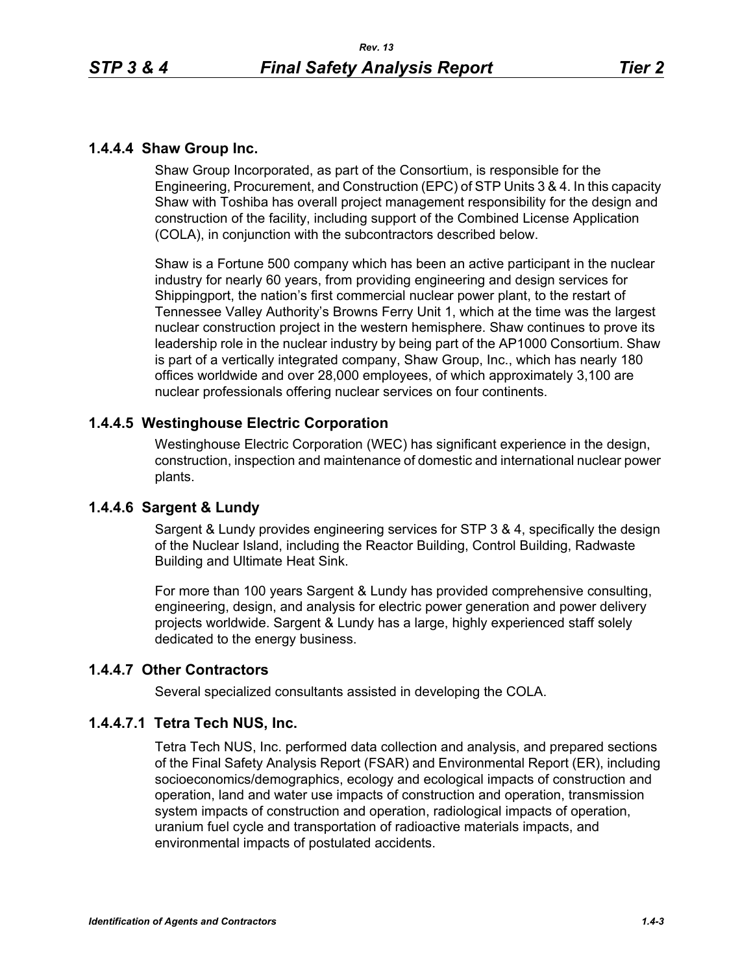### **1.4.4.4 Shaw Group Inc.**

Shaw Group Incorporated, as part of the Consortium, is responsible for the Engineering, Procurement, and Construction (EPC) of STP Units 3 & 4. In this capacity Shaw with Toshiba has overall project management responsibility for the design and construction of the facility, including support of the Combined License Application (COLA), in conjunction with the subcontractors described below.

Shaw is a Fortune 500 company which has been an active participant in the nuclear industry for nearly 60 years, from providing engineering and design services for Shippingport, the nation's first commercial nuclear power plant, to the restart of Tennessee Valley Authority's Browns Ferry Unit 1, which at the time was the largest nuclear construction project in the western hemisphere. Shaw continues to prove its leadership role in the nuclear industry by being part of the AP1000 Consortium. Shaw is part of a vertically integrated company, Shaw Group, Inc., which has nearly 180 offices worldwide and over 28,000 employees, of which approximately 3,100 are nuclear professionals offering nuclear services on four continents.

### **1.4.4.5 Westinghouse Electric Corporation**

Westinghouse Electric Corporation (WEC) has significant experience in the design, construction, inspection and maintenance of domestic and international nuclear power plants.

#### **1.4.4.6 Sargent & Lundy**

Sargent & Lundy provides engineering services for STP 3 & 4, specifically the design of the Nuclear Island, including the Reactor Building, Control Building, Radwaste Building and Ultimate Heat Sink.

For more than 100 years Sargent & Lundy has provided comprehensive consulting, engineering, design, and analysis for electric power generation and power delivery projects worldwide. Sargent & Lundy has a large, highly experienced staff solely dedicated to the energy business.

#### **1.4.4.7 Other Contractors**

Several specialized consultants assisted in developing the COLA.

## **1.4.4.7.1 Tetra Tech NUS, Inc.**

Tetra Tech NUS, Inc. performed data collection and analysis, and prepared sections of the Final Safety Analysis Report (FSAR) and Environmental Report (ER), including socioeconomics/demographics, ecology and ecological impacts of construction and operation, land and water use impacts of construction and operation, transmission system impacts of construction and operation, radiological impacts of operation, uranium fuel cycle and transportation of radioactive materials impacts, and environmental impacts of postulated accidents.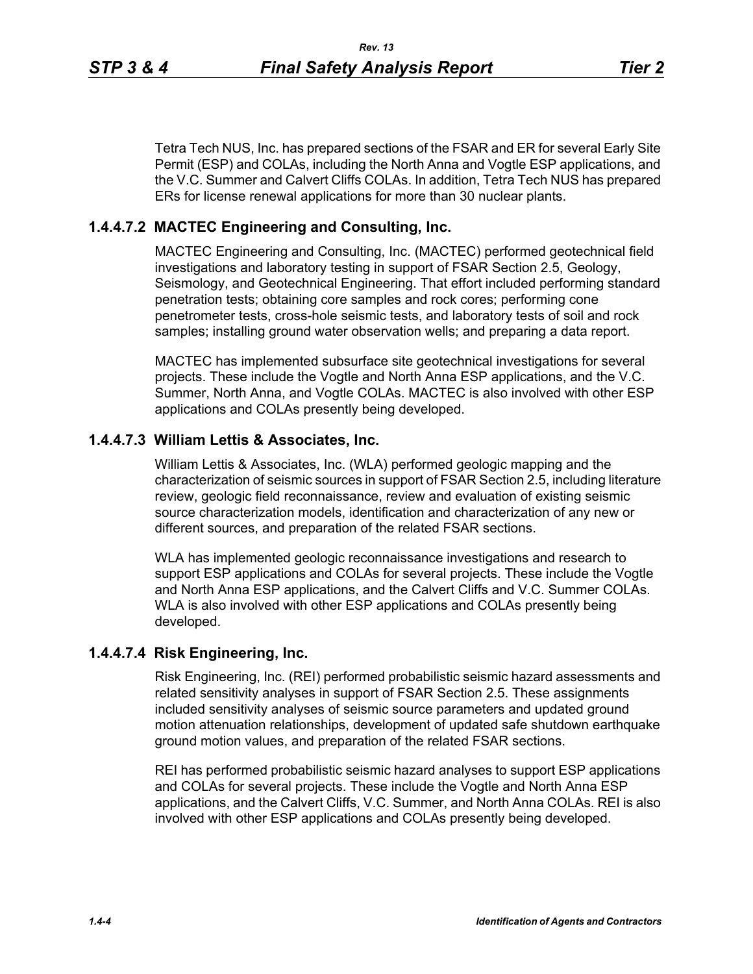Tetra Tech NUS, Inc. has prepared sections of the FSAR and ER for several Early Site

Permit (ESP) and COLAs, including the North Anna and Vogtle ESP applications, and the V.C. Summer and Calvert Cliffs COLAs. In addition, Tetra Tech NUS has prepared ERs for license renewal applications for more than 30 nuclear plants.

### **1.4.4.7.2 MACTEC Engineering and Consulting, Inc.**

MACTEC Engineering and Consulting, Inc. (MACTEC) performed geotechnical field investigations and laboratory testing in support of FSAR Section 2.5, Geology, Seismology, and Geotechnical Engineering. That effort included performing standard penetration tests; obtaining core samples and rock cores; performing cone penetrometer tests, cross-hole seismic tests, and laboratory tests of soil and rock samples; installing ground water observation wells; and preparing a data report.

MACTEC has implemented subsurface site geotechnical investigations for several projects. These include the Vogtle and North Anna ESP applications, and the V.C. Summer, North Anna, and Vogtle COLAs. MACTEC is also involved with other ESP applications and COLAs presently being developed.

#### **1.4.4.7.3 William Lettis & Associates, Inc.**

William Lettis & Associates, Inc. (WLA) performed geologic mapping and the characterization of seismic sources in support of FSAR Section 2.5, including literature review, geologic field reconnaissance, review and evaluation of existing seismic source characterization models, identification and characterization of any new or different sources, and preparation of the related FSAR sections.

WLA has implemented geologic reconnaissance investigations and research to support ESP applications and COLAs for several projects. These include the Vogtle and North Anna ESP applications, and the Calvert Cliffs and V.C. Summer COLAs. WLA is also involved with other ESP applications and COLAs presently being developed.

#### **1.4.4.7.4 Risk Engineering, Inc.**

Risk Engineering, Inc. (REI) performed probabilistic seismic hazard assessments and related sensitivity analyses in support of FSAR Section 2.5. These assignments included sensitivity analyses of seismic source parameters and updated ground motion attenuation relationships, development of updated safe shutdown earthquake ground motion values, and preparation of the related FSAR sections.

REI has performed probabilistic seismic hazard analyses to support ESP applications and COLAs for several projects. These include the Vogtle and North Anna ESP applications, and the Calvert Cliffs, V.C. Summer, and North Anna COLAs. REI is also involved with other ESP applications and COLAs presently being developed.